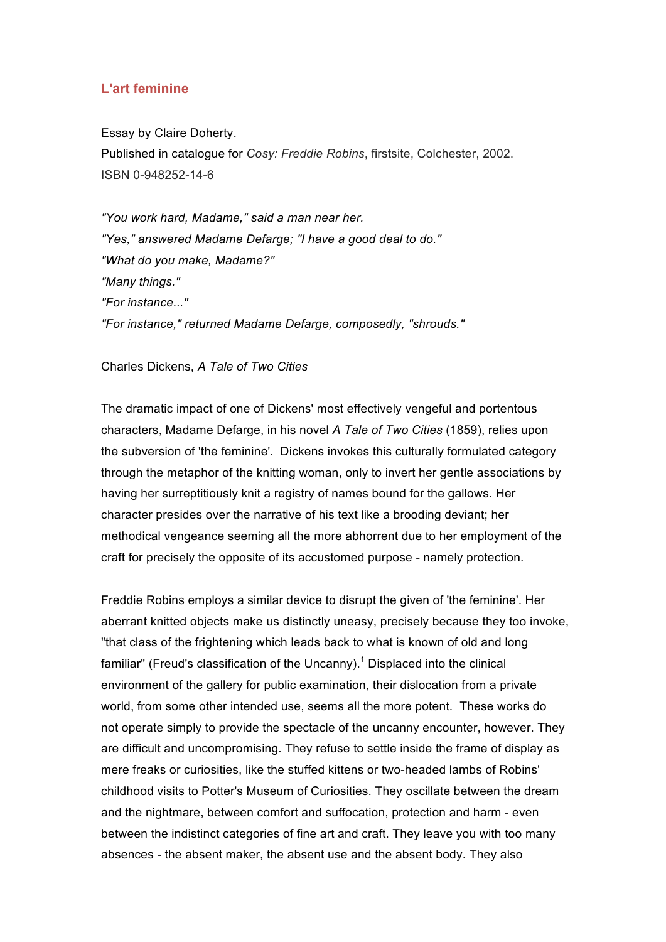## **L'art feminine**

Essay by Claire Doherty. Published in catalogue for *Cosy: Freddie Robins*, firstsite, Colchester, 2002. ISBN 0-948252-14-6

*"You work hard, Madame," said a man near her. "Yes," answered Madame Defarge; "I have a good deal to do." "What do you make, Madame?" "Many things." "For instance..." "For instance," returned Madame Defarge, composedly, "shrouds."* 

## Charles Dickens, *A Tale of Two Cities*

The dramatic impact of one of Dickens' most effectively vengeful and portentous characters, Madame Defarge, in his novel *A Tale of Two Cities* (1859), relies upon the subversion of 'the feminine'. Dickens invokes this culturally formulated category through the metaphor of the knitting woman, only to invert her gentle associations by having her surreptitiously knit a registry of names bound for the gallows. Her character presides over the narrative of his text like a brooding deviant; her methodical vengeance seeming all the more abhorrent due to her employment of the craft for precisely the opposite of its accustomed purpose - namely protection.

Freddie Robins employs a similar device to disrupt the given of 'the feminine'. Her aberrant knitted objects make us distinctly uneasy, precisely because they too invoke, "that class of the frightening which leads back to what is known of old and long familiar" (Freud's classification of the Uncanny).<sup>1</sup> Displaced into the clinical environment of the gallery for public examination, their dislocation from a private world, from some other intended use, seems all the more potent. These works do not operate simply to provide the spectacle of the uncanny encounter, however. They are difficult and uncompromising. They refuse to settle inside the frame of display as mere freaks or curiosities, like the stuffed kittens or two-headed lambs of Robins' childhood visits to Potter's Museum of Curiosities. They oscillate between the dream and the nightmare, between comfort and suffocation, protection and harm - even between the indistinct categories of fine art and craft. They leave you with too many absences - the absent maker, the absent use and the absent body. They also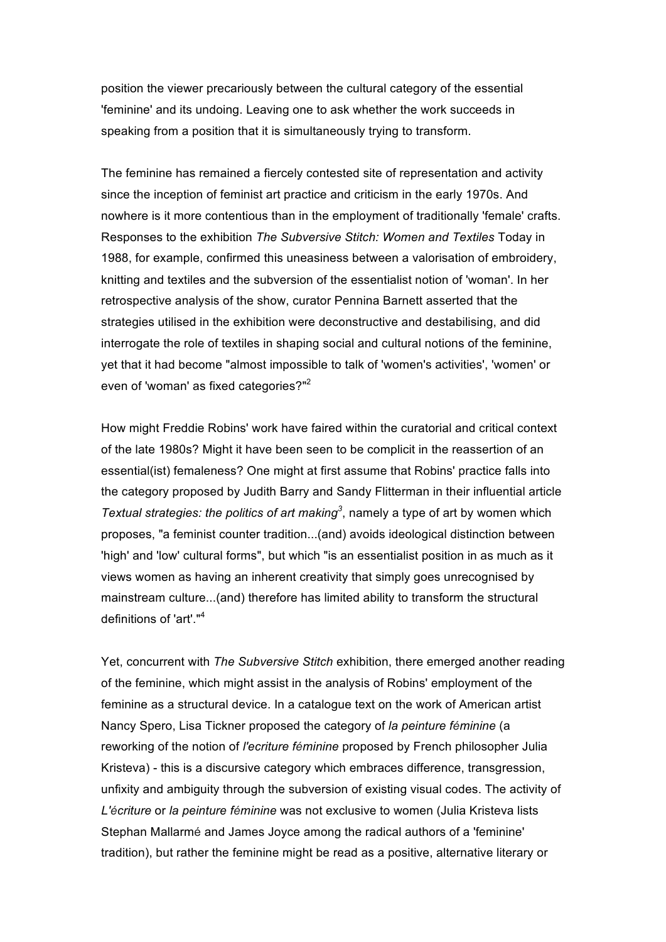position the viewer precariously between the cultural category of the essential 'feminine' and its undoing. Leaving one to ask whether the work succeeds in speaking from a position that it is simultaneously trying to transform.

The feminine has remained a fiercely contested site of representation and activity since the inception of feminist art practice and criticism in the early 1970s. And nowhere is it more contentious than in the employment of traditionally 'female' crafts. Responses to the exhibition *The Subversive Stitch: Women and Textiles* Today in 1988, for example, confirmed this uneasiness between a valorisation of embroidery, knitting and textiles and the subversion of the essentialist notion of 'woman'. In her retrospective analysis of the show, curator Pennina Barnett asserted that the strategies utilised in the exhibition were deconstructive and destabilising, and did interrogate the role of textiles in shaping social and cultural notions of the feminine, yet that it had become "almost impossible to talk of 'women's activities', 'women' or even of 'woman' as fixed categories?"<sup>2</sup>

How might Freddie Robins' work have faired within the curatorial and critical context of the late 1980s? Might it have been seen to be complicit in the reassertion of an essential(ist) femaleness? One might at first assume that Robins' practice falls into the category proposed by Judith Barry and Sandy Flitterman in their influential article Textual strategies: the politics of art making<sup>3</sup>, namely a type of art by women which proposes, "a feminist counter tradition...(and) avoids ideological distinction between 'high' and 'low' cultural forms", but which "is an essentialist position in as much as it views women as having an inherent creativity that simply goes unrecognised by mainstream culture...(and) therefore has limited ability to transform the structural definitions of 'art'."<sup>4</sup>

Yet, concurrent with *The Subversive Stitch* exhibition, there emerged another reading of the feminine, which might assist in the analysis of Robins' employment of the feminine as a structural device. In a catalogue text on the work of American artist Nancy Spero, Lisa Tickner proposed the category of *la peinture féminine* (a reworking of the notion of *l'ecriture féminine* proposed by French philosopher Julia Kristeva) - this is a discursive category which embraces difference, transgression, unfixity and ambiguity through the subversion of existing visual codes. The activity of *L'écriture* or *la peinture féminine* was not exclusive to women (Julia Kristeva lists Stephan Mallarmé and James Joyce among the radical authors of a 'feminine' tradition), but rather the feminine might be read as a positive, alternative literary or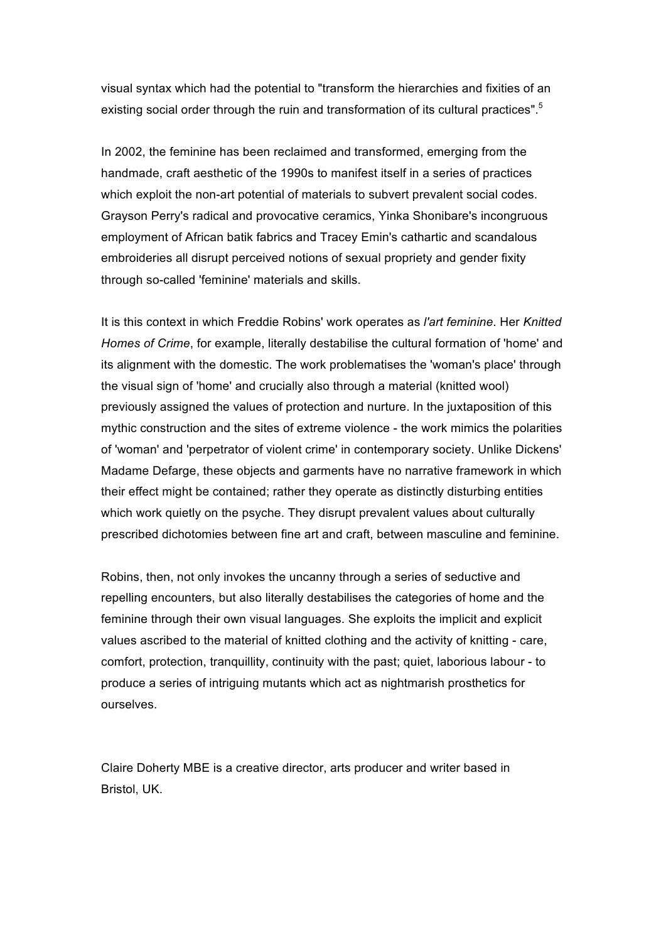visual syntax which had the potential to "transform the hierarchies and fixities of an existing social order through the ruin and transformation of its cultural practices".<sup>5</sup>

In 2002, the feminine has been reclaimed and transformed, emerging from the handmade, craft aesthetic of the 1990s to manifest itself in a series of practices which exploit the non-art potential of materials to subvert prevalent social codes. Grayson Perry's radical and provocative ceramics, Yinka Shonibare's incongruous employment of African batik fabrics and Tracey Emin's cathartic and scandalous embroideries all disrupt perceived notions of sexual propriety and gender fixity through so-called 'feminine' materials and skills.

It is this context in which Freddie Robins' work operates as *l'art feminine*. Her *Knitted Homes of Crime*, for example, literally destabilise the cultural formation of 'home' and its alignment with the domestic. The work problematises the 'woman's place' through the visual sign of 'home' and crucially also through a material (knitted wool) previously assigned the values of protection and nurture. In the juxtaposition of this mythic construction and the sites of extreme violence - the work mimics the polarities of 'woman' and 'perpetrator of violent crime' in contemporary society. Unlike Dickens' Madame Defarge, these objects and garments have no narrative framework in which their effect might be contained; rather they operate as distinctly disturbing entities which work quietly on the psyche. They disrupt prevalent values about culturally prescribed dichotomies between fine art and craft, between masculine and feminine.

Robins, then, not only invokes the uncanny through a series of seductive and repelling encounters, but also literally destabilises the categories of home and the feminine through their own visual languages. She exploits the implicit and explicit values ascribed to the material of knitted clothing and the activity of knitting - care, comfort, protection, tranquillity, continuity with the past; quiet, laborious labour - to produce a series of intriguing mutants which act as nightmarish prosthetics for ourselves.

Claire Doherty MBE is a creative director, arts producer and writer based in Bristol, UK.